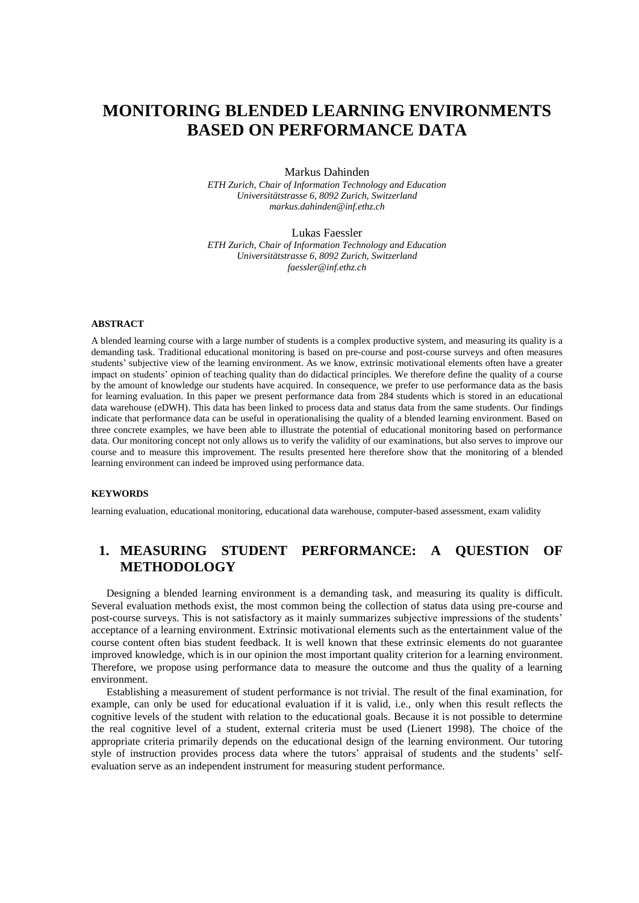# **MONITORING BLENDED LEARNING ENVIRONMENTS BASED ON PERFORMANCE DATA**

Markus Dahinden

*ETH Zurich, Chair of Information Technology and Education Universitätstrasse 6, 8092 Zurich, Switzerland markus.dahinden@inf.ethz.ch*

Lukas Faessler

*ETH Zurich, Chair of Information Technology and Education Universitätstrasse 6, 8092 Zurich, Switzerland faessler@inf.ethz.ch*

### **ABSTRACT**

A blended learning course with a large number of students is a complex productive system, and measuring its quality is a demanding task. Traditional educational monitoring is based on pre-course and post-course surveys and often measures students' subjective view of the learning environment. As we know, extrinsic motivational elements often have a greater impact on students' opinion of teaching quality than do didactical principles. We therefore define the quality of a course by the amount of knowledge our students have acquired. In consequence, we prefer to use performance data as the basis for learning evaluation. In this paper we present performance data from 284 students which is stored in an educational data warehouse (eDWH). This data has been linked to process data and status data from the same students. Our findings indicate that performance data can be useful in operationalising the quality of a blended learning environment. Based on three concrete examples, we have been able to illustrate the potential of educational monitoring based on performance data. Our monitoring concept not only allows us to verify the validity of our examinations, but also serves to improve our course and to measure this improvement. The results presented here therefore show that the monitoring of a blended learning environment can indeed be improved using performance data.

#### **KEYWORDS**

learning evaluation, educational monitoring, educational data warehouse, computer-based assessment, exam validity

# **1. MEASURING STUDENT PERFORMANCE: A QUESTION OF METHODOLOGY**

Designing a blended learning environment is a demanding task, and measuring its quality is difficult. Several evaluation methods exist, the most common being the collection of status data using pre-course and post-course surveys. This is not satisfactory as it mainly summarizes subjective impressions of the students' acceptance of a learning environment. Extrinsic motivational elements such as the entertainment value of the course content often bias student feedback. It is well known that these extrinsic elements do not guarantee improved knowledge, which is in our opinion the most important quality criterion for a learning environment. Therefore, we propose using performance data to measure the outcome and thus the quality of a learning environment.

Establishing a measurement of student performance is not trivial. The result of the final examination, for example, can only be used for educational evaluation if it is valid, i.e., only when this result reflects the cognitive levels of the student with relation to the educational goals. Because it is not possible to determine the real cognitive level of a student, external criteria must be used (Lienert 1998). The choice of the appropriate criteria primarily depends on the educational design of the learning environment. Our tutoring style of instruction provides process data where the tutors' appraisal of students and the students' selfevaluation serve as an independent instrument for measuring student performance.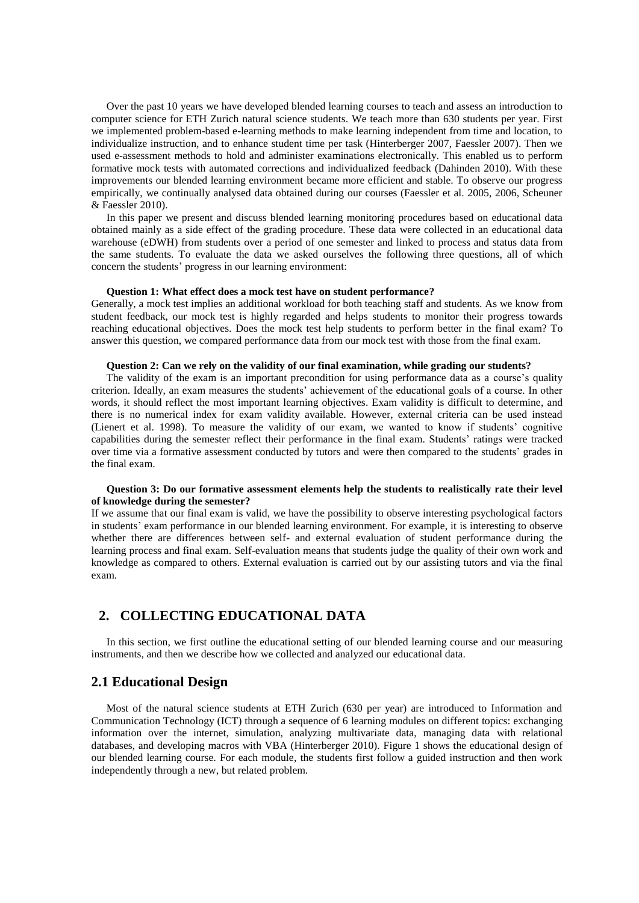Over the past 10 years we have developed blended learning courses to teach and assess an introduction to computer science for ETH Zurich natural science students. We teach more than 630 students per year. First we implemented problem-based e-learning methods to make learning independent from time and location, to individualize instruction, and to enhance student time per task (Hinterberger 2007, Faessler 2007). Then we used e-assessment methods to hold and administer examinations electronically. This enabled us to perform formative mock tests with automated corrections and individualized feedback (Dahinden 2010). With these improvements our blended learning environment became more efficient and stable. To observe our progress empirically, we continually analysed data obtained during our courses (Faessler et al. 2005, 2006, Scheuner & Faessler 2010).

In this paper we present and discuss blended learning monitoring procedures based on educational data obtained mainly as a side effect of the grading procedure. These data were collected in an educational data warehouse (eDWH) from students over a period of one semester and linked to process and status data from the same students. To evaluate the data we asked ourselves the following three questions, all of which concern the students' progress in our learning environment:

#### **Question 1: What effect does a mock test have on student performance?**

Generally, a mock test implies an additional workload for both teaching staff and students. As we know from student feedback, our mock test is highly regarded and helps students to monitor their progress towards reaching educational objectives. Does the mock test help students to perform better in the final exam? To answer this question, we compared performance data from our mock test with those from the final exam.

#### **Question 2: Can we rely on the validity of our final examination, while grading our students?**

The validity of the exam is an important precondition for using performance data as a course's quality criterion. Ideally, an exam measures the students' achievement of the educational goals of a course. In other words, it should reflect the most important learning objectives. Exam validity is difficult to determine, and there is no numerical index for exam validity available. However, external criteria can be used instead (Lienert et al. 1998). To measure the validity of our exam, we wanted to know if students' cognitive capabilities during the semester reflect their performance in the final exam. Students' ratings were tracked over time via a formative assessment conducted by tutors and were then compared to the students' grades in the final exam.

#### **Question 3: Do our formative assessment elements help the students to realistically rate their level of knowledge during the semester?**

If we assume that our final exam is valid, we have the possibility to observe interesting psychological factors in students' exam performance in our blended learning environment. For example, it is interesting to observe whether there are differences between self- and external evaluation of student performance during the learning process and final exam. Self-evaluation means that students judge the quality of their own work and knowledge as compared to others. External evaluation is carried out by our assisting tutors and via the final exam.

# **2. COLLECTING EDUCATIONAL DATA**

In this section, we first outline the educational setting of our blended learning course and our measuring instruments, and then we describe how we collected and analyzed our educational data.

### **2.1 Educational Design**

Most of the natural science students at ETH Zurich (630 per year) are introduced to Information and Communication Technology (ICT) through a sequence of 6 learning modules on different topics: exchanging information over the internet, simulation, analyzing multivariate data, managing data with relational databases, and developing macros with VBA (Hinterberger 2010). Figure 1 shows the educational design of our blended learning course. For each module, the students first follow a guided instruction and then work independently through a new, but related problem.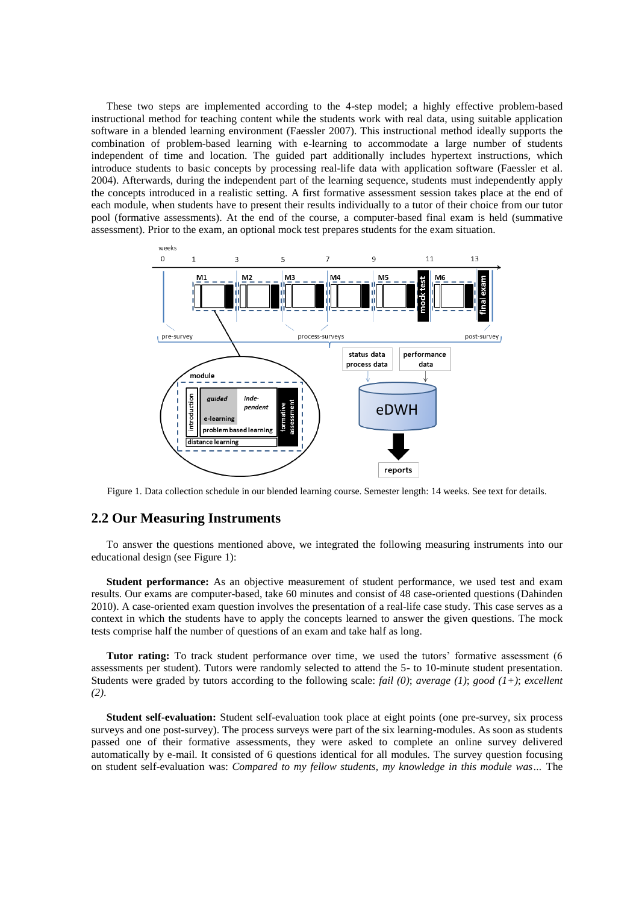These two steps are implemented according to the 4-step model; a highly effective problem-based instructional method for teaching content while the students work with real data, using suitable application software in a blended learning environment (Faessler 2007). This instructional method ideally supports the combination of problem-based learning with e-learning to accommodate a large number of students independent of time and location. The guided part additionally includes hypertext instructions, which introduce students to basic concepts by processing real-life data with application software (Faessler et al. 2004). Afterwards, during the independent part of the learning sequence, students must independently apply the concepts introduced in a realistic setting. A first formative assessment session takes place at the end of each module, when students have to present their results individually to a tutor of their choice from our tutor pool (formative assessments). At the end of the course, a computer-based final exam is held (summative assessment). Prior to the exam, an optional mock test prepares students for the exam situation.



Figure 1. Data collection schedule in our blended learning course. Semester length: 14 weeks. See text for details.

### **2.2 Our Measuring Instruments**

To answer the questions mentioned above, we integrated the following measuring instruments into our educational design (see Figure 1):

**Student performance:** As an objective measurement of student performance, we used test and exam results. Our exams are computer-based, take 60 minutes and consist of 48 case-oriented questions (Dahinden 2010). A case-oriented exam question involves the presentation of a real-life case study. This case serves as a context in which the students have to apply the concepts learned to answer the given questions. The mock tests comprise half the number of questions of an exam and take half as long.

**Tutor rating:** To track student performance over time, we used the tutors' formative assessment (6) assessments per student). Tutors were randomly selected to attend the 5- to 10-minute student presentation. Students were graded by tutors according to the following scale: *fail (0)*; *average (1)*; *good (1+)*; *excellent (2)*.

**Student self-evaluation:** Student self-evaluation took place at eight points (one pre-survey, six process surveys and one post-survey). The process surveys were part of the six learning-modules. As soon as students passed one of their formative assessments, they were asked to complete an online survey delivered automatically by e-mail. It consisted of 6 questions identical for all modules. The survey question focusing on student self-evaluation was: *Compared to my fellow students, my knowledge in this module was…* The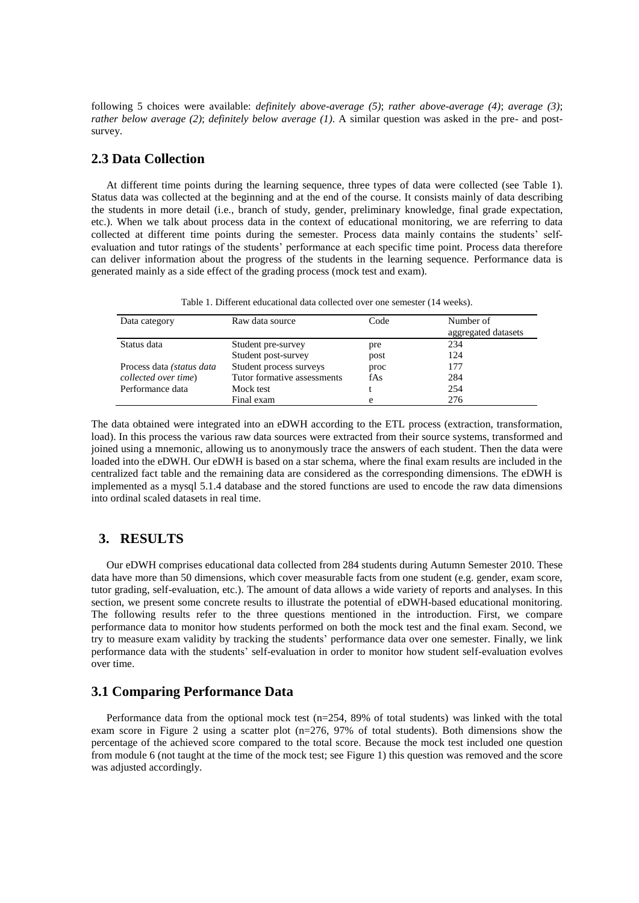following 5 choices were available: *definitely above-average (5)*; *rather above-average (4)*; *average (3)*; *rather below average (2)*; *definitely below average (1)*. A similar question was asked in the pre- and postsurvey.

# **2.3 Data Collection**

At different time points during the learning sequence, three types of data were collected (see Table 1). Status data was collected at the beginning and at the end of the course. It consists mainly of data describing the students in more detail (i.e., branch of study, gender, preliminary knowledge, final grade expectation, etc.). When we talk about process data in the context of educational monitoring, we are referring to data collected at different time points during the semester. Process data mainly contains the students' selfevaluation and tutor ratings of the students' performance at each specific time point. Process data therefore can deliver information about the progress of the students in the learning sequence. Performance data is generated mainly as a side effect of the grading process (mock test and exam).

| Table 1. Different educational data collected over one semester (14 weeks). |  |  |
|-----------------------------------------------------------------------------|--|--|
|-----------------------------------------------------------------------------|--|--|

| Data category                      | Raw data source             | Code | Number of<br>aggregated datasets |
|------------------------------------|-----------------------------|------|----------------------------------|
| Status data                        | Student pre-survey          | pre  | 234                              |
|                                    | Student post-survey         | post | 124                              |
| Process data <i>(status data</i> ) | Student process surveys     | proc | 177                              |
| collected over time)               | Tutor formative assessments | fAs  | 284                              |
| Performance data                   | Mock test                   |      | 254                              |
|                                    | Final exam                  | e    | 276                              |

The data obtained were integrated into an eDWH according to the ETL process (extraction, transformation, load). In this process the various raw data sources were extracted from their source systems, transformed and joined using a mnemonic, allowing us to anonymously trace the answers of each student. Then the data were loaded into the eDWH. Our eDWH is based on a star schema, where the final exam results are included in the centralized fact table and the remaining data are considered as the corresponding dimensions. The eDWH is implemented as a mysql 5.1.4 database and the stored functions are used to encode the raw data dimensions into ordinal scaled datasets in real time.

### **3. RESULTS**

Our eDWH comprises educational data collected from 284 students during Autumn Semester 2010. These data have more than 50 dimensions, which cover measurable facts from one student (e.g. gender, exam score, tutor grading, self-evaluation, etc.). The amount of data allows a wide variety of reports and analyses. In this section, we present some concrete results to illustrate the potential of eDWH-based educational monitoring. The following results refer to the three questions mentioned in the introduction. First, we compare performance data to monitor how students performed on both the mock test and the final exam. Second, we try to measure exam validity by tracking the students' performance data over one semester. Finally, we link performance data with the students' self-evaluation in order to monitor how student self-evaluation evolves over time.

### **3.1 Comparing Performance Data**

Performance data from the optional mock test (n=254, 89% of total students) was linked with the total exam score in Figure 2 using a scatter plot (n=276, 97% of total students). Both dimensions show the percentage of the achieved score compared to the total score. Because the mock test included one question from module 6 (not taught at the time of the mock test; see Figure 1) this question was removed and the score was adjusted accordingly.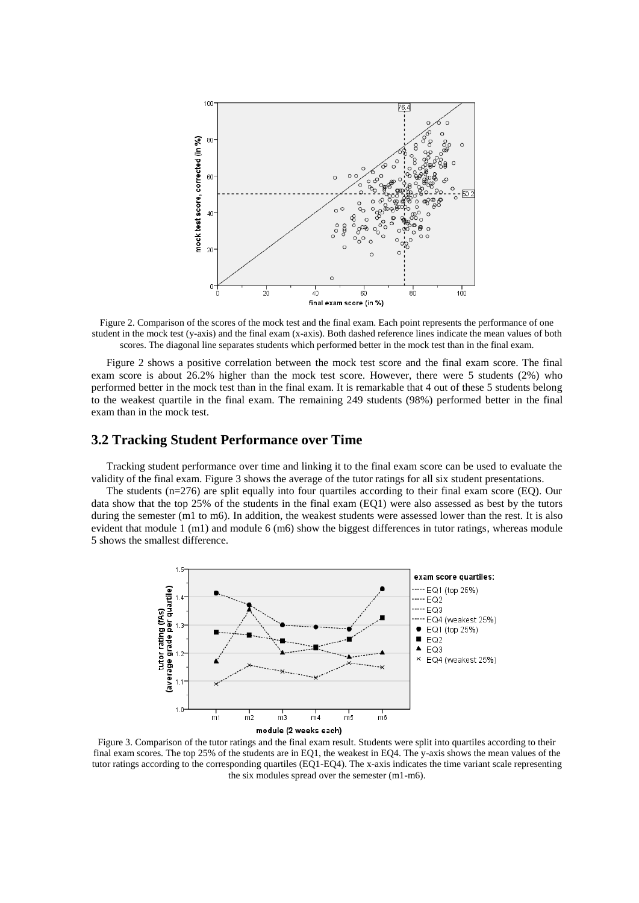

Figure 2. Comparison of the scores of the mock test and the final exam. Each point represents the performance of one student in the mock test (y-axis) and the final exam (x-axis). Both dashed reference lines indicate the mean values of both scores. The diagonal line separates students which performed better in the mock test than in the final exam.

Figure 2 shows a positive correlation between the mock test score and the final exam score. The final exam score is about 26.2% higher than the mock test score. However, there were 5 students (2%) who performed better in the mock test than in the final exam. It is remarkable that 4 out of these 5 students belong to the weakest quartile in the final exam. The remaining 249 students (98%) performed better in the final exam than in the mock test.

### **3.2 Tracking Student Performance over Time**

Tracking student performance over time and linking it to the final exam score can be used to evaluate the validity of the final exam. Figure 3 shows the average of the tutor ratings for all six student presentations.

The students (n=276) are split equally into four quartiles according to their final exam score (EQ). Our data show that the top 25% of the students in the final exam (EQ1) were also assessed as best by the tutors during the semester (m1 to m6). In addition, the weakest students were assessed lower than the rest. It is also evident that module 1 (m1) and module 6 (m6) show the biggest differences in tutor ratings, whereas module 5 shows the smallest difference.



Figure 3. Comparison of the tutor ratings and the final exam result. Students were split into quartiles according to their final exam scores. The top 25% of the students are in EQ1, the weakest in EQ4. The y-axis shows the mean values of the tutor ratings according to the corresponding quartiles (EQ1-EQ4). The x-axis indicates the time variant scale representing the six modules spread over the semester (m1-m6).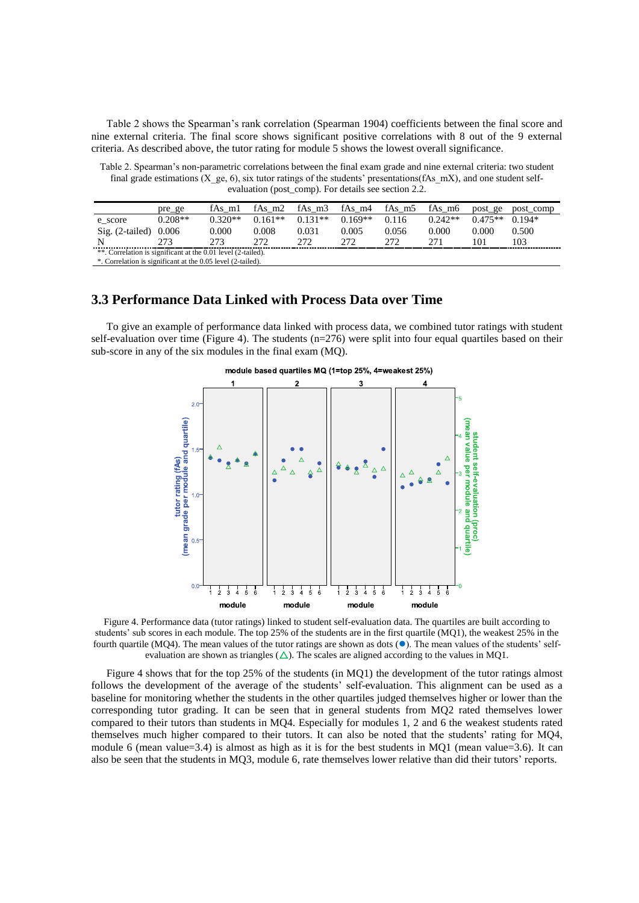Table 2 shows the Spearman's rank correlation (Spearman 1904) coefficients between the final score and nine external criteria. The final score shows significant positive correlations with 8 out of the 9 external criteria. As described above, the tutor rating for module 5 shows the lowest overall significance.

Table 2. Spearman's non-parametric correlations between the final exam grade and nine external criteria: two student final grade estimations  $(X \text{ ge}, 6)$ , six tutor ratings of the students' presentations(fAs mX), and one student selfevaluation (post\_comp). For details see section 2.2.

|                                                              | pre_ge    | fAs m1    | fAs $m2$  | fAs m <sub>3</sub> | fAs m4    | fAs_m5 | fAs m6    | post ge   | post comp |
|--------------------------------------------------------------|-----------|-----------|-----------|--------------------|-----------|--------|-----------|-----------|-----------|
| e score                                                      | $0.208**$ | $0.320**$ | $0.161**$ | $0.131**$          | $0.169**$ | 0.116  | $0.242**$ | $0.475**$ | $0.194*$  |
| $\text{Sig.}$ (2-tailed) 0.006                               |           | 0.000     | 0.008     | 0.031              | 0.005     | 0.056  | 0.000     | 0.000     | 0.500     |
|                                                              | 273       | 273       | フフつ       | 272                | フフフ       | 272    | 271       | 101       | 103       |
| **. Correlation is significant at the 0.01 level (2-tailed). |           |           |           |                    |           |        |           |           |           |
| *. Correlation is significant at the 0.05 level (2-tailed).  |           |           |           |                    |           |        |           |           |           |

# **3.3 Performance Data Linked with Process Data over Time**

To give an example of performance data linked with process data, we combined tutor ratings with student self-evaluation over time (Figure 4). The students (n=276) were split into four equal quartiles based on their sub-score in any of the six modules in the final exam (MQ).



Figure 4. Performance data (tutor ratings) linked to student self-evaluation data. The quartiles are built according to students' sub scores in each module. The top 25% of the students are in the first quartile (MQ1), the weakest 25% in the fourth quartile (MQ4). The mean values of the tutor ratings are shown as dots  $(\bullet)$ . The mean values of the students' selfevaluation are shown as triangles  $(\triangle)$ . The scales are aligned according to the values in MQ1.

Figure 4 shows that for the top 25% of the students (in MQ1) the development of the tutor ratings almost follows the development of the average of the students' self-evaluation. This alignment can be used as a baseline for monitoring whether the students in the other quartiles judged themselves higher or lower than the corresponding tutor grading. It can be seen that in general students from MQ2 rated themselves lower compared to their tutors than students in MQ4. Especially for modules 1, 2 and 6 the weakest students rated themselves much higher compared to their tutors. It can also be noted that the students' rating for MQ4, module 6 (mean value=3.4) is almost as high as it is for the best students in MQ1 (mean value=3.6). It can also be seen that the students in MQ3, module 6, rate themselves lower relative than did their tutors' reports.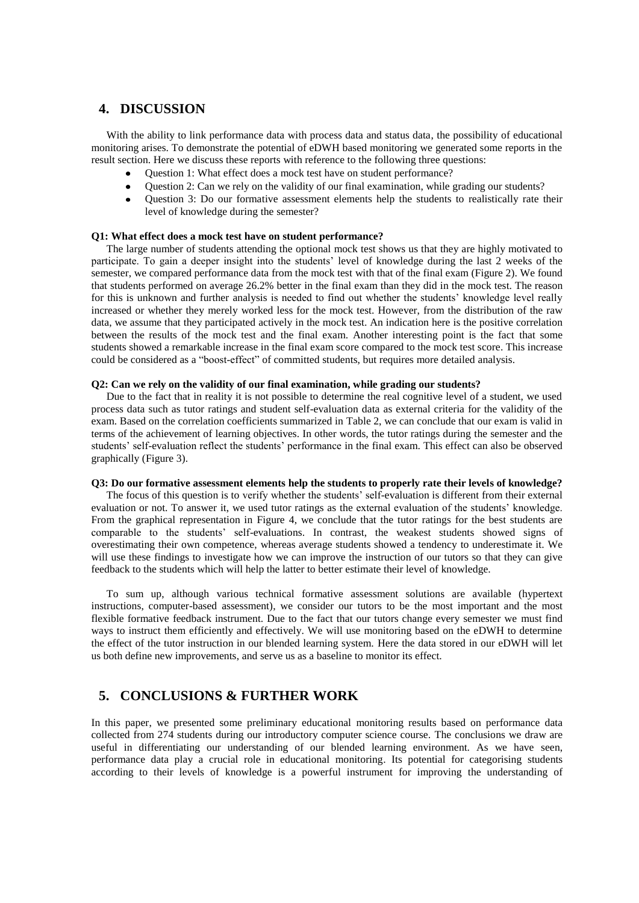# **4. DISCUSSION**

With the ability to link performance data with process data and status data, the possibility of educational monitoring arises. To demonstrate the potential of eDWH based monitoring we generated some reports in the result section. Here we discuss these reports with reference to the following three questions:

- Question 1: What effect does a mock test have on student performance?
- Question 2: Can we rely on the validity of our final examination, while grading our students?
- Question 3: Do our formative assessment elements help the students to realistically rate their  $\bullet$ level of knowledge during the semester?

#### **Q1: What effect does a mock test have on student performance?**

The large number of students attending the optional mock test shows us that they are highly motivated to participate. To gain a deeper insight into the students' level of knowledge during the last 2 weeks of the semester, we compared performance data from the mock test with that of the final exam (Figure 2). We found that students performed on average 26.2% better in the final exam than they did in the mock test. The reason for this is unknown and further analysis is needed to find out whether the students' knowledge level really increased or whether they merely worked less for the mock test. However, from the distribution of the raw data, we assume that they participated actively in the mock test. An indication here is the positive correlation between the results of the mock test and the final exam. Another interesting point is the fact that some students showed a remarkable increase in the final exam score compared to the mock test score. This increase could be considered as a "boost-effect" of committed students, but requires more detailed analysis.

#### **Q2: Can we rely on the validity of our final examination, while grading our students?**

Due to the fact that in reality it is not possible to determine the real cognitive level of a student, we used process data such as tutor ratings and student self-evaluation data as external criteria for the validity of the exam. Based on the correlation coefficients summarized in Table 2, we can conclude that our exam is valid in terms of the achievement of learning objectives. In other words, the tutor ratings during the semester and the students' self-evaluation reflect the students' performance in the final exam. This effect can also be observed graphically (Figure 3).

### **Q3: Do our formative assessment elements help the students to properly rate their levels of knowledge?**

The focus of this question is to verify whether the students' self-evaluation is different from their external evaluation or not. To answer it, we used tutor ratings as the external evaluation of the students' knowledge. From the graphical representation in Figure 4, we conclude that the tutor ratings for the best students are comparable to the students' self-evaluations. In contrast, the weakest students showed signs of overestimating their own competence, whereas average students showed a tendency to underestimate it. We will use these findings to investigate how we can improve the instruction of our tutors so that they can give feedback to the students which will help the latter to better estimate their level of knowledge.

To sum up, although various technical formative assessment solutions are available (hypertext instructions, computer-based assessment), we consider our tutors to be the most important and the most flexible formative feedback instrument. Due to the fact that our tutors change every semester we must find ways to instruct them efficiently and effectively. We will use monitoring based on the eDWH to determine the effect of the tutor instruction in our blended learning system. Here the data stored in our eDWH will let us both define new improvements, and serve us as a baseline to monitor its effect.

# **5. CONCLUSIONS & FURTHER WORK**

In this paper, we presented some preliminary educational monitoring results based on performance data collected from 274 students during our introductory computer science course. The conclusions we draw are useful in differentiating our understanding of our blended learning environment. As we have seen, performance data play a crucial role in educational monitoring. Its potential for categorising students according to their levels of knowledge is a powerful instrument for improving the understanding of